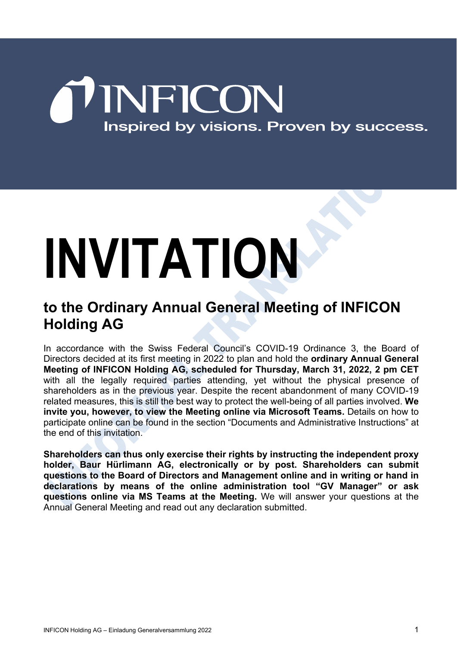## NFICON Inspired by visions. Proven by success.

# **INVITATION**

#### **to the Ordinary Annual General Meeting of INFICON Holding AG**

In accordance with the Swiss Federal Council's COVID-19 Ordinance 3, the Board of Directors decided at its first meeting in 2022 to plan and hold the **ordinary Annual General Meeting of INFICON Holding AG, scheduled for Thursday, March 31, 2022, 2 pm CET** with all the legally required parties attending, yet without the physical presence of shareholders as in the previous year. Despite the recent abandonment of many COVID-19 related measures, this is still the best way to protect the well-being of all parties involved. **We invite you, however, to view the Meeting online via Microsoft Teams.** Details on how to participate online can be found in the section "Documents and Administrative Instructions" at the end of this invitation.

**Shareholders can thus only exercise their rights by instructing the independent proxy holder, Baur Hürlimann AG, electronically or by post. Shareholders can submit questions to the Board of Directors and Management online and in writing or hand in declarations by means of the online administration tool "GV Manager" or ask questions online via MS Teams at the Meeting.** We will answer your questions at the Annual General Meeting and read out any declaration submitted.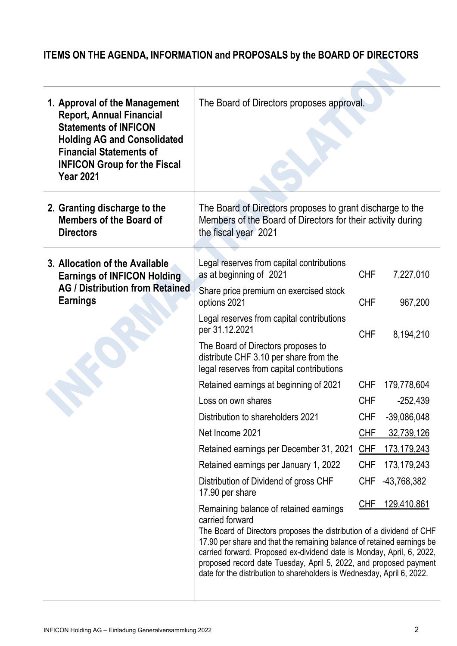#### **ITEMS ON THE AGENDA, INFORMATION and PROPOSALS by the BOARD OF DIRECTORS**

| 1. Approval of the Management<br><b>Report, Annual Financial</b><br><b>Statements of INFICON</b><br><b>Holding AG and Consolidated</b><br><b>Financial Statements of</b><br><b>INFICON Group for the Fiscal</b><br><b>Year 2021</b> | The Board of Directors proposes approval.                                                                                                                                                                                                                                                                                                                                                                                            |            |                    |
|-------------------------------------------------------------------------------------------------------------------------------------------------------------------------------------------------------------------------------------|--------------------------------------------------------------------------------------------------------------------------------------------------------------------------------------------------------------------------------------------------------------------------------------------------------------------------------------------------------------------------------------------------------------------------------------|------------|--------------------|
| 2. Granting discharge to the<br><b>Members of the Board of</b><br><b>Directors</b>                                                                                                                                                  | The Board of Directors proposes to grant discharge to the<br>Members of the Board of Directors for their activity during<br>the fiscal year 2021                                                                                                                                                                                                                                                                                     |            |                    |
| 3. Allocation of the Available<br><b>Earnings of INFICON Holding</b><br><b>AG / Distribution from Retained</b><br><b>Earnings</b>                                                                                                   | Legal reserves from capital contributions<br>as at beginning of 2021                                                                                                                                                                                                                                                                                                                                                                 | <b>CHF</b> | 7,227,010          |
|                                                                                                                                                                                                                                     | Share price premium on exercised stock<br>options 2021                                                                                                                                                                                                                                                                                                                                                                               | <b>CHF</b> | 967,200            |
|                                                                                                                                                                                                                                     | Legal reserves from capital contributions<br>per 31.12.2021                                                                                                                                                                                                                                                                                                                                                                          | <b>CHF</b> | 8,194,210          |
|                                                                                                                                                                                                                                     | The Board of Directors proposes to<br>distribute CHF 3.10 per share from the<br>legal reserves from capital contributions                                                                                                                                                                                                                                                                                                            |            |                    |
|                                                                                                                                                                                                                                     | Retained earnings at beginning of 2021                                                                                                                                                                                                                                                                                                                                                                                               | <b>CHF</b> | 179,778,604        |
|                                                                                                                                                                                                                                     | Loss on own shares                                                                                                                                                                                                                                                                                                                                                                                                                   | <b>CHF</b> | $-252,439$         |
|                                                                                                                                                                                                                                     | Distribution to shareholders 2021                                                                                                                                                                                                                                                                                                                                                                                                    | <b>CHF</b> | $-39,086,048$      |
|                                                                                                                                                                                                                                     | Net Income 2021                                                                                                                                                                                                                                                                                                                                                                                                                      | CHF        | 32,739,126         |
|                                                                                                                                                                                                                                     | Retained earnings per December 31, 2021                                                                                                                                                                                                                                                                                                                                                                                              | CHE        | 173,179,243        |
|                                                                                                                                                                                                                                     | Retained earnings per January 1, 2022                                                                                                                                                                                                                                                                                                                                                                                                | <b>CHF</b> | 173, 179, 243      |
|                                                                                                                                                                                                                                     | Distribution of Dividend of gross CHF<br>17.90 per share                                                                                                                                                                                                                                                                                                                                                                             | <b>CHF</b> | -43,768,382        |
|                                                                                                                                                                                                                                     | Remaining balance of retained earnings<br>carried forward<br>The Board of Directors proposes the distribution of a dividend of CHF<br>17.90 per share and that the remaining balance of retained earnings be<br>carried forward. Proposed ex-dividend date is Monday, April, 6, 2022,<br>proposed record date Tuesday, April 5, 2022, and proposed payment<br>date for the distribution to shareholders is Wednesday, April 6, 2022. | <u>CHF</u> | <u>129,410,861</u> |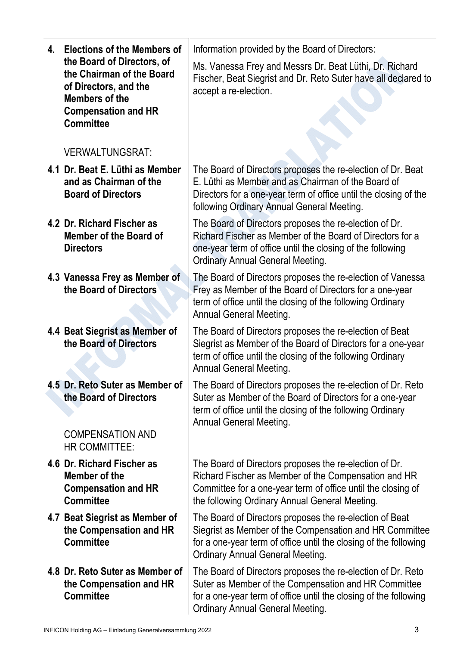| 4. Elections of the Members of                                                                                                                              | Information provided by the Board of Directors:                                                                                                                                                                                     |
|-------------------------------------------------------------------------------------------------------------------------------------------------------------|-------------------------------------------------------------------------------------------------------------------------------------------------------------------------------------------------------------------------------------|
| the Board of Directors, of<br>the Chairman of the Board<br>of Directors, and the<br><b>Members of the</b><br><b>Compensation and HR</b><br><b>Committee</b> | Ms. Vanessa Frey and Messrs Dr. Beat Lüthi, Dr. Richard<br>Fischer, Beat Siegrist and Dr. Reto Suter have all declared to<br>accept a re-election.                                                                                  |
| <b>VERWALTUNGSRAT:</b>                                                                                                                                      |                                                                                                                                                                                                                                     |
| 4.1 Dr. Beat E. Lüthi as Member<br>and as Chairman of the<br><b>Board of Directors</b>                                                                      | The Board of Directors proposes the re-election of Dr. Beat<br>E. Lüthi as Member and as Chairman of the Board of<br>Directors for a one-year term of office until the closing of the<br>following Ordinary Annual General Meeting. |
| 4.2 Dr. Richard Fischer as<br>Member of the Board of<br><b>Directors</b>                                                                                    | The Board of Directors proposes the re-election of Dr.<br>Richard Fischer as Member of the Board of Directors for a<br>one-year term of office until the closing of the following<br><b>Ordinary Annual General Meeting.</b>        |
| 4.3 Vanessa Frey as Member of<br>the Board of Directors                                                                                                     | The Board of Directors proposes the re-election of Vanessa<br>Frey as Member of the Board of Directors for a one-year<br>term of office until the closing of the following Ordinary<br><b>Annual General Meeting.</b>               |
| 4.4 Beat Siegrist as Member of<br>the Board of Directors                                                                                                    | The Board of Directors proposes the re-election of Beat<br>Siegrist as Member of the Board of Directors for a one-year<br>term of office until the closing of the following Ordinary<br><b>Annual General Meeting.</b>              |
| 4.5 Dr. Reto Suter as Member of<br>the Board of Directors                                                                                                   | The Board of Directors proposes the re-election of Dr. Reto<br>Suter as Member of the Board of Directors for a one-year<br>term of office until the closing of the following Ordinary<br><b>Annual General Meeting.</b>             |
| <b>COMPENSATION AND</b><br>HR COMMITTEE:                                                                                                                    |                                                                                                                                                                                                                                     |
| 4.6 Dr. Richard Fischer as<br>Member of the<br><b>Compensation and HR</b><br><b>Committee</b>                                                               | The Board of Directors proposes the re-election of Dr.<br>Richard Fischer as Member of the Compensation and HR<br>Committee for a one-year term of office until the closing of<br>the following Ordinary Annual General Meeting.    |
| 4.7 Beat Siegrist as Member of<br>the Compensation and HR<br><b>Committee</b>                                                                               | The Board of Directors proposes the re-election of Beat<br>Siegrist as Member of the Compensation and HR Committee<br>for a one-year term of office until the closing of the following<br><b>Ordinary Annual General Meeting.</b>   |
| 4.8 Dr. Reto Suter as Member of<br>the Compensation and HR<br><b>Committee</b>                                                                              | The Board of Directors proposes the re-election of Dr. Reto<br>Suter as Member of the Compensation and HR Committee<br>for a one-year term of office until the closing of the following<br><b>Ordinary Annual General Meeting.</b>  |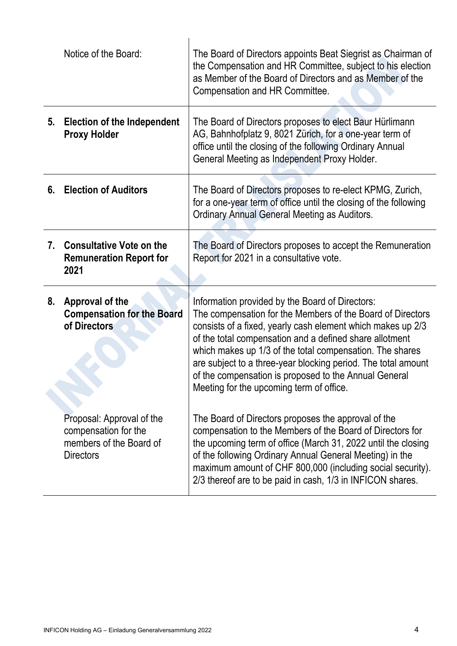|    | Notice of the Board:                                                                             | The Board of Directors appoints Beat Siegrist as Chairman of<br>the Compensation and HR Committee, subject to his election<br>as Member of the Board of Directors and as Member of the<br>Compensation and HR Committee.                                                                                                                                                                                                                                                  |
|----|--------------------------------------------------------------------------------------------------|---------------------------------------------------------------------------------------------------------------------------------------------------------------------------------------------------------------------------------------------------------------------------------------------------------------------------------------------------------------------------------------------------------------------------------------------------------------------------|
| 5. | <b>Election of the Independent</b><br><b>Proxy Holder</b>                                        | The Board of Directors proposes to elect Baur Hürlimann<br>AG, Bahnhofplatz 9, 8021 Zürich, for a one-year term of<br>office until the closing of the following Ordinary Annual<br>General Meeting as Independent Proxy Holder.                                                                                                                                                                                                                                           |
| 6. | <b>Election of Auditors</b>                                                                      | The Board of Directors proposes to re-elect KPMG, Zurich,<br>for a one-year term of office until the closing of the following<br>Ordinary Annual General Meeting as Auditors.                                                                                                                                                                                                                                                                                             |
| 7. | <b>Consultative Vote on the</b><br><b>Remuneration Report for</b><br>2021                        | The Board of Directors proposes to accept the Remuneration<br>Report for 2021 in a consultative vote.                                                                                                                                                                                                                                                                                                                                                                     |
| 8. | Approval of the<br><b>Compensation for the Board</b><br>of Directors                             | Information provided by the Board of Directors:<br>The compensation for the Members of the Board of Directors<br>consists of a fixed, yearly cash element which makes up 2/3<br>of the total compensation and a defined share allotment<br>which makes up 1/3 of the total compensation. The shares<br>are subject to a three-year blocking period. The total amount<br>of the compensation is proposed to the Annual General<br>Meeting for the upcoming term of office. |
|    | Proposal: Approval of the<br>compensation for the<br>members of the Board of<br><b>Directors</b> | The Board of Directors proposes the approval of the<br>compensation to the Members of the Board of Directors for<br>the upcoming term of office (March 31, 2022 until the closing<br>of the following Ordinary Annual General Meeting) in the<br>maximum amount of CHF 800,000 (including social security).<br>2/3 thereof are to be paid in cash, 1/3 in INFICON shares.                                                                                                 |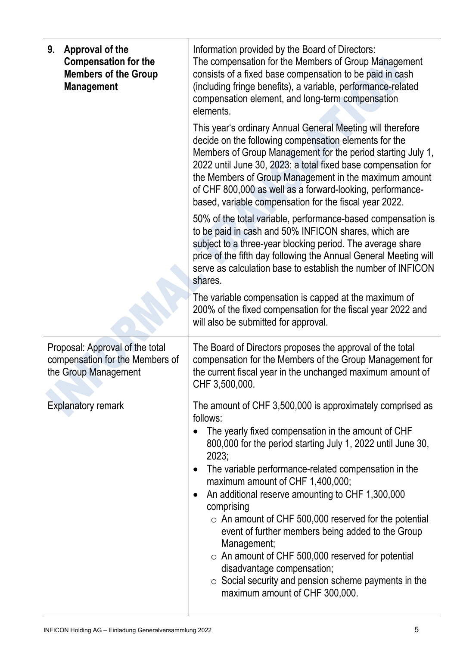| Approval of the<br>9.<br><b>Compensation for the</b><br><b>Members of the Group</b><br><b>Management</b> | Information provided by the Board of Directors:<br>The compensation for the Members of Group Management<br>consists of a fixed base compensation to be paid in cash<br>(including fringe benefits), a variable, performance-related<br>compensation element, and long-term compensation<br>elements.                                                                                                                                                                                                                                                                                                                                                                                                                    |
|----------------------------------------------------------------------------------------------------------|-------------------------------------------------------------------------------------------------------------------------------------------------------------------------------------------------------------------------------------------------------------------------------------------------------------------------------------------------------------------------------------------------------------------------------------------------------------------------------------------------------------------------------------------------------------------------------------------------------------------------------------------------------------------------------------------------------------------------|
|                                                                                                          | This year's ordinary Annual General Meeting will therefore<br>decide on the following compensation elements for the<br>Members of Group Management for the period starting July 1,<br>2022 until June 30, 2023: a total fixed base compensation for<br>the Members of Group Management in the maximum amount<br>of CHF 800,000 as well as a forward-looking, performance-<br>based, variable compensation for the fiscal year 2022.                                                                                                                                                                                                                                                                                     |
|                                                                                                          | 50% of the total variable, performance-based compensation is<br>to be paid in cash and 50% INFICON shares, which are<br>subject to a three-year blocking period. The average share<br>price of the fifth day following the Annual General Meeting will<br>serve as calculation base to establish the number of INFICON<br>shares.                                                                                                                                                                                                                                                                                                                                                                                       |
|                                                                                                          | The variable compensation is capped at the maximum of<br>200% of the fixed compensation for the fiscal year 2022 and<br>will also be submitted for approval.                                                                                                                                                                                                                                                                                                                                                                                                                                                                                                                                                            |
| Proposal: Approval of the total<br>compensation for the Members of<br>the Group Management               | The Board of Directors proposes the approval of the total<br>compensation for the Members of the Group Management for<br>the current fiscal year in the unchanged maximum amount of<br>CHF 3,500,000.                                                                                                                                                                                                                                                                                                                                                                                                                                                                                                                   |
| <b>Explanatory remark</b>                                                                                | The amount of CHF 3,500,000 is approximately comprised as<br>follows:<br>The yearly fixed compensation in the amount of CHF<br>800,000 for the period starting July 1, 2022 until June 30,<br>2023;<br>The variable performance-related compensation in the<br>$\bullet$<br>maximum amount of CHF 1,400,000;<br>An additional reserve amounting to CHF 1,300,000<br>$\bullet$<br>comprising<br>$\circ$ An amount of CHF 500,000 reserved for the potential<br>event of further members being added to the Group<br>Management;<br>$\circ$ An amount of CHF 500,000 reserved for potential<br>disadvantage compensation;<br>$\circ$ Social security and pension scheme payments in the<br>maximum amount of CHF 300,000. |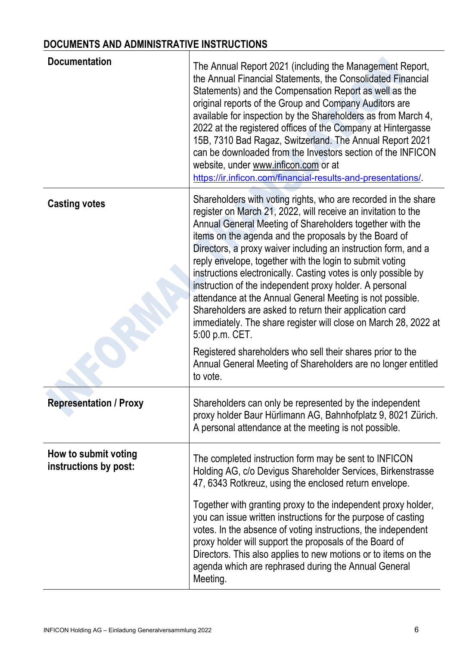### **DOCUMENTS AND ADMINISTRATIVE INSTRUCTIONS**

| <b>Documentation</b>                          | The Annual Report 2021 (including the Management Report,<br>the Annual Financial Statements, the Consolidated Financial<br>Statements) and the Compensation Report as well as the<br>original reports of the Group and Company Auditors are<br>available for inspection by the Shareholders as from March 4,<br>2022 at the registered offices of the Company at Hintergasse<br>15B, 7310 Bad Ragaz, Switzerland. The Annual Report 2021<br>can be downloaded from the Investors section of the INFICON<br>website, under www.inficon.com or at<br>https://ir.inficon.com/financial-results-and-presentations/.                                                                                                                                                                                                                                                         |
|-----------------------------------------------|-------------------------------------------------------------------------------------------------------------------------------------------------------------------------------------------------------------------------------------------------------------------------------------------------------------------------------------------------------------------------------------------------------------------------------------------------------------------------------------------------------------------------------------------------------------------------------------------------------------------------------------------------------------------------------------------------------------------------------------------------------------------------------------------------------------------------------------------------------------------------|
| <b>Casting votes</b>                          | Shareholders with voting rights, who are recorded in the share<br>register on March 21, 2022, will receive an invitation to the<br>Annual General Meeting of Shareholders together with the<br>items on the agenda and the proposals by the Board of<br>Directors, a proxy waiver including an instruction form, and a<br>reply envelope, together with the login to submit voting<br>instructions electronically. Casting votes is only possible by<br>instruction of the independent proxy holder. A personal<br>attendance at the Annual General Meeting is not possible.<br>Shareholders are asked to return their application card<br>immediately. The share register will close on March 28, 2022 at<br>5:00 p.m. CET.<br>Registered shareholders who sell their shares prior to the<br>Annual General Meeting of Shareholders are no longer entitled<br>to vote. |
| <b>Representation / Proxy</b>                 | Shareholders can only be represented by the independent<br>proxy holder Baur Hürlimann AG, Bahnhofplatz 9, 8021 Zürich.<br>A personal attendance at the meeting is not possible.                                                                                                                                                                                                                                                                                                                                                                                                                                                                                                                                                                                                                                                                                        |
| How to submit voting<br>instructions by post: | The completed instruction form may be sent to INFICON<br>Holding AG, c/o Devigus Shareholder Services, Birkenstrasse<br>47, 6343 Rotkreuz, using the enclosed return envelope.<br>Together with granting proxy to the independent proxy holder,<br>you can issue written instructions for the purpose of casting<br>votes. In the absence of voting instructions, the independent<br>proxy holder will support the proposals of the Board of<br>Directors. This also applies to new motions or to items on the<br>agenda which are rephrased during the Annual General<br>Meeting.                                                                                                                                                                                                                                                                                      |